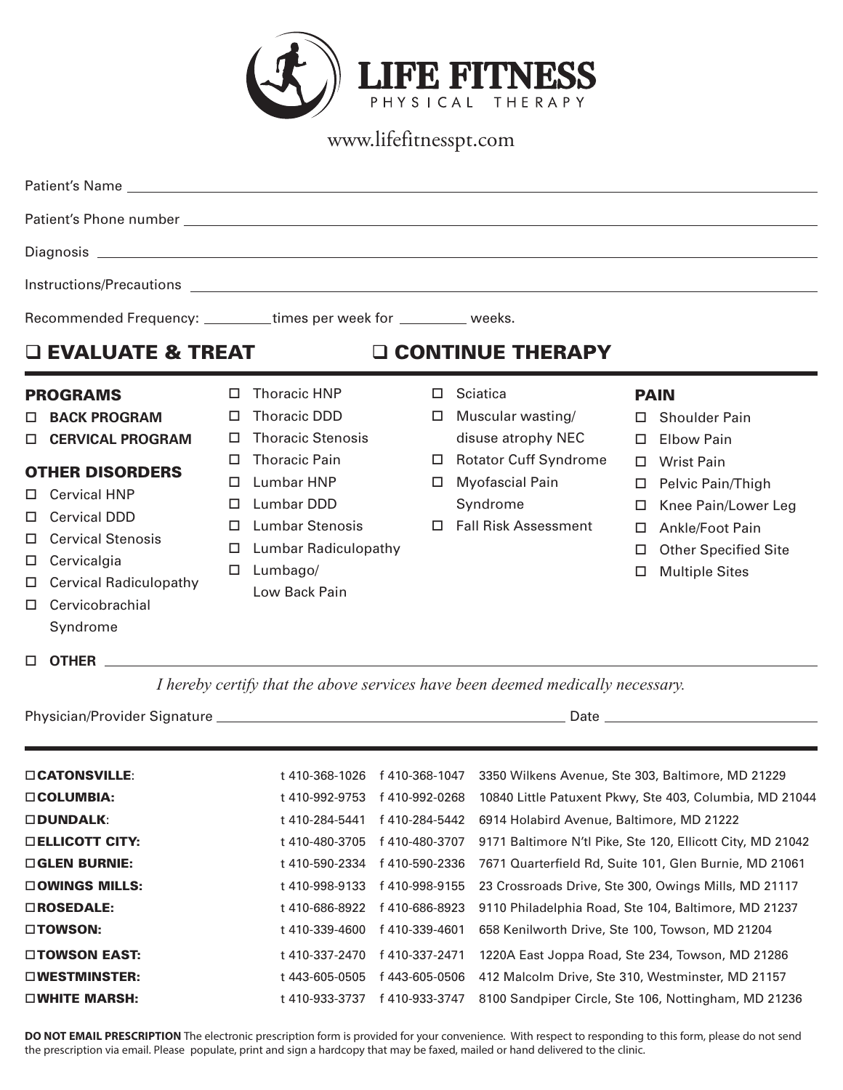

www.lifefitnesspt.com

|                                                                       | Instructions/Precautions Later and Contract and Contract and Contract and Contract and Contract and Contract and Contract and Contract and Contract and Contract and Contract and Contract and Contract and Contract and Contr                       |                                                      |                                                                                                                                                                                                                  |  |                                  |                                                                                                                                                            |                                                                                                                                                                                         |                                                                                                                                                                                                      |
|-----------------------------------------------------------------------|------------------------------------------------------------------------------------------------------------------------------------------------------------------------------------------------------------------------------------------------------|------------------------------------------------------|------------------------------------------------------------------------------------------------------------------------------------------------------------------------------------------------------------------|--|----------------------------------|------------------------------------------------------------------------------------------------------------------------------------------------------------|-----------------------------------------------------------------------------------------------------------------------------------------------------------------------------------------|------------------------------------------------------------------------------------------------------------------------------------------------------------------------------------------------------|
| Recommended Frequency: __________times per week for __________ weeks. |                                                                                                                                                                                                                                                      |                                                      |                                                                                                                                                                                                                  |  |                                  |                                                                                                                                                            |                                                                                                                                                                                         |                                                                                                                                                                                                      |
|                                                                       | <b>Q EVALUATE &amp; TREAT</b>                                                                                                                                                                                                                        |                                                      |                                                                                                                                                                                                                  |  |                                  | <b>Q CONTINUE THERAPY</b>                                                                                                                                  |                                                                                                                                                                                         |                                                                                                                                                                                                      |
| $\Box$<br>□<br>□<br>□<br>□<br>$\Box$<br>ш                             | <b>PROGRAMS</b><br><b>BACK PROGRAM</b><br><b>CERVICAL PROGRAM</b><br><b>OTHER DISORDERS</b><br><b>Cervical HNP</b><br><b>Cervical DDD</b><br><b>Cervical Stenosis</b><br>Cervicalgia<br><b>Cervical Radiculopathy</b><br>Cervicobrachial<br>Syndrome | П.<br>□<br>□<br>□<br>$\Box$<br>□<br>□<br>□<br>$\Box$ | <b>Thoracic HNP</b><br><b>Thoracic DDD</b><br><b>Thoracic Stenosis</b><br><b>Thoracic Pain</b><br>Lumbar HNP<br>Lumbar DDD<br><b>Lumbar Stenosis</b><br><b>Lumbar Radiculopathy</b><br>Lumbago/<br>Low Back Pain |  | □<br>□<br>$\Box$<br>□            | <b>Sciatica</b><br>Muscular wasting/<br>disuse atrophy NEC<br><b>Rotator Cuff Syndrome</b><br><b>Myofascial Pain</b><br>Syndrome<br>□ Fall Risk Assessment | П.<br>П.<br>□<br>$\Box$<br>□<br>□<br>□<br>□                                                                                                                                             | <b>PAIN</b><br><b>Shoulder Pain</b><br><b>Elbow Pain</b><br><b>Wrist Pain</b><br>Pelvic Pain/Thigh<br>Knee Pain/Lower Leg<br>Ankle/Foot Pain<br><b>Other Specified Site</b><br><b>Multiple Sites</b> |
|                                                                       | $\Box$ OTHER $\Box$                                                                                                                                                                                                                                  |                                                      |                                                                                                                                                                                                                  |  |                                  | I hereby certify that the above services have been deemed medically necessary.                                                                             |                                                                                                                                                                                         |                                                                                                                                                                                                      |
|                                                                       |                                                                                                                                                                                                                                                      |                                                      |                                                                                                                                                                                                                  |  |                                  |                                                                                                                                                            |                                                                                                                                                                                         |                                                                                                                                                                                                      |
| □ CATONSVILLE:<br>□ COLUMBIA:<br><b>ODUNDALK:</b>                     |                                                                                                                                                                                                                                                      |                                                      | t 410-992-9753<br>t 410-284-5441                                                                                                                                                                                 |  | f 410-992-0268<br>f 410-284-5442 |                                                                                                                                                            | t 410-368-1026 f 410-368-1047 3350 Wilkens Avenue, Ste 303, Baltimore, MD 21229<br>10840 Little Patuxent Pkwy, Ste 403, Columbia, MD 21044<br>6914 Holabird Avenue, Baltimore, MD 21222 |                                                                                                                                                                                                      |
| <b>DELLICOTT CITY:</b><br>□ GLEN BURNIE:<br>□ OWINGS MILLS:           |                                                                                                                                                                                                                                                      |                                                      | t 410-480-3705<br>f 410-480-3707<br>f 410-590-2336<br>t 410-590-2334<br>f 410-998-9155<br>t 410-998-9133                                                                                                         |  |                                  |                                                                                                                                                            | 9171 Baltimore N'tl Pike, Ste 120, Ellicott City, MD 21042<br>7671 Quarterfield Rd, Suite 101, Glen Burnie, MD 21061<br>23 Crossroads Drive, Ste 300, Owings Mills, MD 21117            |                                                                                                                                                                                                      |

DO NOT EMAIL PRESCRIPTION The electronic prescription form is provided for your convenience. With respect to responding to this form, please do not send the prescription via email. Please populate, print and sign a hardcopy that may be faxed, mailed or hand delivered to the clinic.

□ROSEDALE: the theorem 410-686-8922 f 410-686-8923 9110 Philadelphia Road, Ste 104, Baltimore, MD 21237 □TOWSON: t 410-339-4600 f 410-339-4601 658 Kenilworth Drive, Ste 100, Towson, MD 21204 □ TOWSON EAST: t 410-337-2470 f 410-337-2471 1220A East Joppa Road, Ste 234, Towson, MD 21286 □WESTMINSTER: t 443-605-0505 f 443-605-0506 412 Malcolm Drive, Ste 310, Westminster, MD 21157 □ WHITE MARSH: t 410-933-3737 f 410-933-3747 8100 Sandpiper Circle, Ste 106, Nottingham, MD 21236